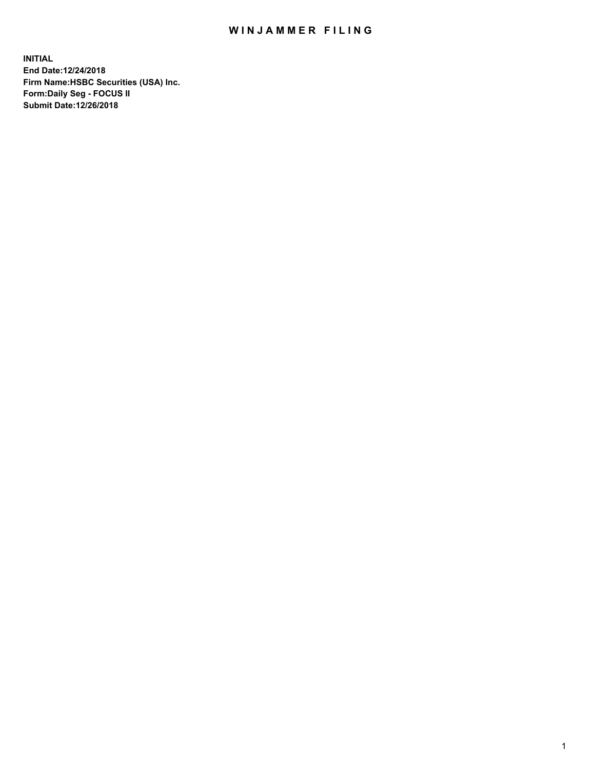## WIN JAMMER FILING

**INITIAL End Date:12/24/2018 Firm Name:HSBC Securities (USA) Inc. Form:Daily Seg - FOCUS II Submit Date:12/26/2018**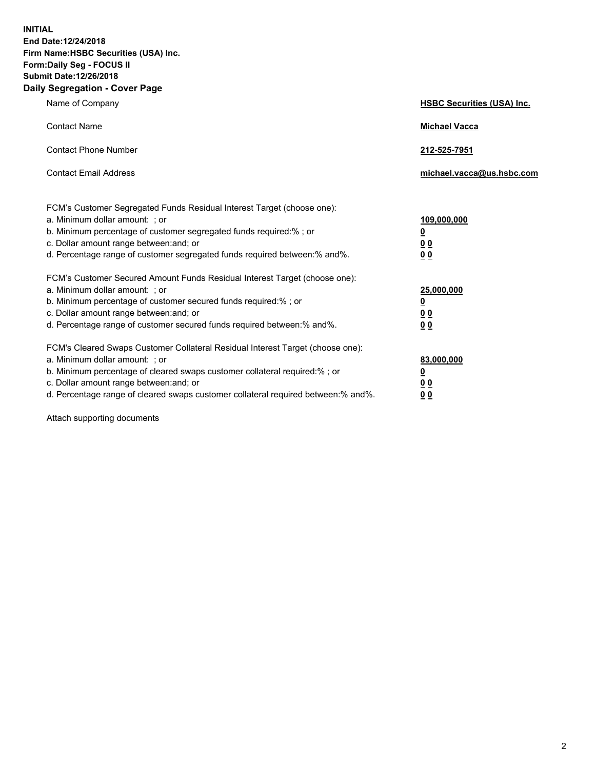**INITIAL End Date:12/24/2018 Firm Name:HSBC Securities (USA) Inc. Form:Daily Seg - FOCUS II Submit Date:12/26/2018 Daily Segregation - Cover Page**

| Name of Company                                                                                                                                                                                                                                                                                                                | <b>HSBC Securities (USA) Inc.</b>                                          |
|--------------------------------------------------------------------------------------------------------------------------------------------------------------------------------------------------------------------------------------------------------------------------------------------------------------------------------|----------------------------------------------------------------------------|
| <b>Contact Name</b>                                                                                                                                                                                                                                                                                                            | <b>Michael Vacca</b>                                                       |
| <b>Contact Phone Number</b>                                                                                                                                                                                                                                                                                                    | 212-525-7951                                                               |
| <b>Contact Email Address</b>                                                                                                                                                                                                                                                                                                   | michael.vacca@us.hsbc.com                                                  |
| FCM's Customer Segregated Funds Residual Interest Target (choose one):<br>a. Minimum dollar amount: : or<br>b. Minimum percentage of customer segregated funds required:% ; or<br>c. Dollar amount range between: and; or<br>d. Percentage range of customer segregated funds required between:% and%.                         | 109,000,000<br>$\overline{\mathbf{0}}$<br>0 <sub>0</sub><br>0 <sub>0</sub> |
| FCM's Customer Secured Amount Funds Residual Interest Target (choose one):<br>a. Minimum dollar amount: ; or<br>b. Minimum percentage of customer secured funds required:%; or<br>c. Dollar amount range between: and; or<br>d. Percentage range of customer secured funds required between:% and%.                            | 25,000,000<br><u>0</u><br>0 <sub>0</sub><br>00                             |
| FCM's Cleared Swaps Customer Collateral Residual Interest Target (choose one):<br>a. Minimum dollar amount: ; or<br>b. Minimum percentage of cleared swaps customer collateral required:% ; or<br>c. Dollar amount range between: and; or<br>d. Percentage range of cleared swaps customer collateral required between:% and%. | 83,000,000<br><u>0</u><br>00<br>0 <sub>0</sub>                             |

Attach supporting documents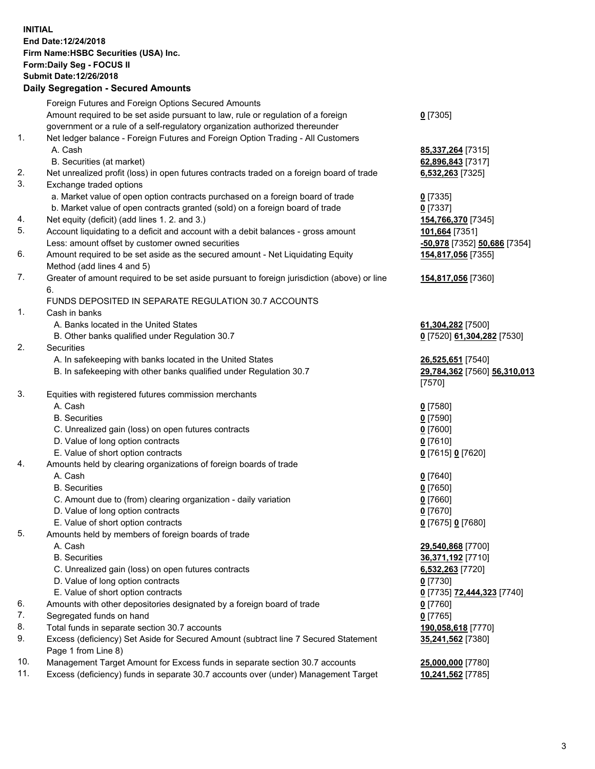**INITIAL End Date:12/24/2018 Firm Name:HSBC Securities (USA) Inc. Form:Daily Seg - FOCUS II Submit Date:12/26/2018 Daily Segregation - Secured Amounts** Foreign Futures and Foreign Options Secured Amounts Amount required to be set aside pursuant to law, rule or regulation of a foreign government or a rule of a self-regulatory organization authorized thereunder **0** [7305] 1. Net ledger balance - Foreign Futures and Foreign Option Trading - All Customers A. Cash **85,337,264** [7315] B. Securities (at market) **62,896,843** [7317] 2. Net unrealized profit (loss) in open futures contracts traded on a foreign board of trade **6,532,263** [7325] 3. Exchange traded options a. Market value of open option contracts purchased on a foreign board of trade **0** [7335] b. Market value of open contracts granted (sold) on a foreign board of trade **0** [7337] 4. Net equity (deficit) (add lines 1. 2. and 3.) **154,766,370** [7345] 5. Account liquidating to a deficit and account with a debit balances - gross amount **101,664** [7351] Less: amount offset by customer owned securities **-50,978** [7352] **50,686** [7354] 6. Amount required to be set aside as the secured amount - Net Liquidating Equity Method (add lines 4 and 5) **154,817,056** [7355] 7. Greater of amount required to be set aside pursuant to foreign jurisdiction (above) or line 6. **154,817,056** [7360] FUNDS DEPOSITED IN SEPARATE REGULATION 30.7 ACCOUNTS 1. Cash in banks A. Banks located in the United States **61,304,282** [7500] B. Other banks qualified under Regulation 30.7 **0** [7520] **61,304,282** [7530] 2. Securities A. In safekeeping with banks located in the United States **26,525,651** [7540] B. In safekeeping with other banks qualified under Regulation 30.7 **29,784,362** [7560] **56,310,013** [7570] 3. Equities with registered futures commission merchants A. Cash **0** [7580] B. Securities **0** [7590] C. Unrealized gain (loss) on open futures contracts **0** [7600] D. Value of long option contracts **0** [7610] E. Value of short option contracts **0** [7615] **0** [7620] 4. Amounts held by clearing organizations of foreign boards of trade A. Cash **0** [7640] B. Securities **0** [7650] C. Amount due to (from) clearing organization - daily variation **0** [7660] D. Value of long option contracts **0** [7670] E. Value of short option contracts **0** [7675] **0** [7680] 5. Amounts held by members of foreign boards of trade A. Cash **29,540,868** [7700] B. Securities **36,371,192** [7710] C. Unrealized gain (loss) on open futures contracts **6,532,263** [7720] D. Value of long option contracts **0** [7730] E. Value of short option contracts **0** [7735] **72,444,323** [7740] 6. Amounts with other depositories designated by a foreign board of trade **0** [7760] 7. Segregated funds on hand **0** [7765] 8. Total funds in separate section 30.7 accounts **190,058,618** [7770] 9. Excess (deficiency) Set Aside for Secured Amount (subtract line 7 Secured Statement Page 1 from Line 8) **35,241,562** [7380] 10. Management Target Amount for Excess funds in separate section 30.7 accounts **25,000,000** [7780]

11. Excess (deficiency) funds in separate 30.7 accounts over (under) Management Target **10,241,562** [7785]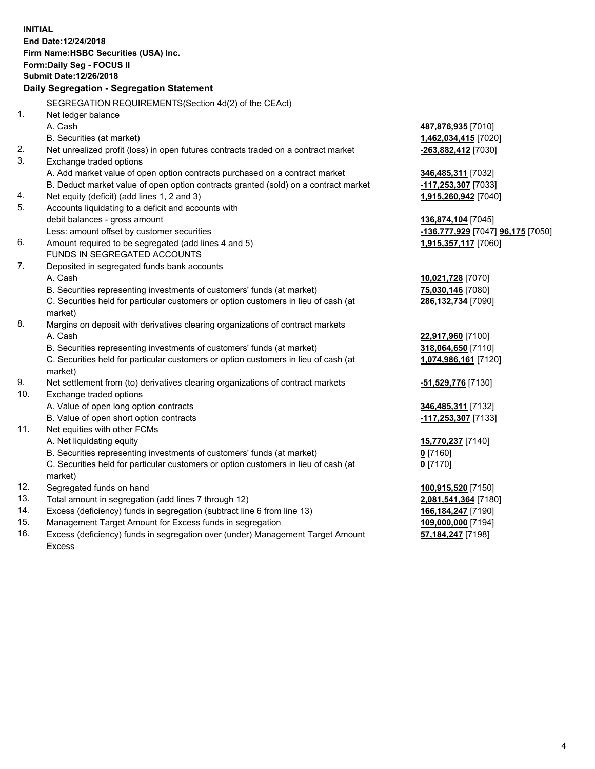|     | <b>INITIAL</b><br>End Date:12/24/2018<br>Firm Name: HSBC Securities (USA) Inc.<br>Form: Daily Seg - FOCUS II<br>Submit Date: 12/26/2018<br>Daily Segregation - Segregation Statement |                                                       |
|-----|--------------------------------------------------------------------------------------------------------------------------------------------------------------------------------------|-------------------------------------------------------|
|     | SEGREGATION REQUIREMENTS(Section 4d(2) of the CEAct)                                                                                                                                 |                                                       |
| 1.  | Net ledger balance                                                                                                                                                                   |                                                       |
|     | A. Cash                                                                                                                                                                              | 487,876,935 [7010]                                    |
|     | B. Securities (at market)                                                                                                                                                            | 1,462,034,415 [7020]                                  |
| 2.  | Net unrealized profit (loss) in open futures contracts traded on a contract market                                                                                                   | -263,882,412 [7030]                                   |
| 3.  | Exchange traded options                                                                                                                                                              |                                                       |
|     | A. Add market value of open option contracts purchased on a contract market                                                                                                          | 346,485,311 [7032]                                    |
|     | B. Deduct market value of open option contracts granted (sold) on a contract market                                                                                                  | -117,253,307 [7033]                                   |
| 4.  | Net equity (deficit) (add lines 1, 2 and 3)                                                                                                                                          | 1,915,260,942 [7040]                                  |
| 5.  | Accounts liquidating to a deficit and accounts with                                                                                                                                  |                                                       |
|     | debit balances - gross amount                                                                                                                                                        | 136,874,104 [7045]                                    |
|     | Less: amount offset by customer securities                                                                                                                                           | <mark>-136,777,929</mark> [7047] <b>96,175</b> [7050] |
| 6.  | Amount required to be segregated (add lines 4 and 5)                                                                                                                                 | 1,915,357,117 [7060]                                  |
|     | FUNDS IN SEGREGATED ACCOUNTS                                                                                                                                                         |                                                       |
| 7.  | Deposited in segregated funds bank accounts                                                                                                                                          |                                                       |
|     | A. Cash                                                                                                                                                                              | 10,021,728 [7070]                                     |
|     | B. Securities representing investments of customers' funds (at market)                                                                                                               | 75,030,146 [7080]                                     |
|     | C. Securities held for particular customers or option customers in lieu of cash (at                                                                                                  | 286,132,734 [7090]                                    |
|     | market)                                                                                                                                                                              |                                                       |
| 8.  | Margins on deposit with derivatives clearing organizations of contract markets                                                                                                       |                                                       |
|     | A. Cash                                                                                                                                                                              | 22,917,960 [7100]                                     |
|     | B. Securities representing investments of customers' funds (at market)                                                                                                               | 318,064,650 [7110]                                    |
|     | C. Securities held for particular customers or option customers in lieu of cash (at<br>market)                                                                                       | 1,074,986,161 [7120]                                  |
| 9.  | Net settlement from (to) derivatives clearing organizations of contract markets                                                                                                      | -51,529,776 [7130]                                    |
| 10. | Exchange traded options                                                                                                                                                              |                                                       |
|     | A. Value of open long option contracts                                                                                                                                               | 346,485,311 [7132]                                    |
|     | B. Value of open short option contracts                                                                                                                                              | -117,253,307 [7133]                                   |
| 11. | Net equities with other FCMs                                                                                                                                                         |                                                       |
|     | A. Net liquidating equity                                                                                                                                                            | 15,770,237 [7140]                                     |
|     | B. Securities representing investments of customers' funds (at market)                                                                                                               | $0$ [7160]                                            |
|     | C. Securities held for particular customers or option customers in lieu of cash (at                                                                                                  | $0$ [7170]                                            |
|     | market)                                                                                                                                                                              |                                                       |
| 12. | Segregated funds on hand                                                                                                                                                             | 100,915,520 [7150]                                    |
| 13. | Total amount in segregation (add lines 7 through 12)                                                                                                                                 | 2,081,541,364 [7180]                                  |
| 14. | Excess (deficiency) funds in segregation (subtract line 6 from line 13)                                                                                                              | 166,184,247 [7190]                                    |
| 15. | Management Target Amount for Excess funds in segregation                                                                                                                             | 109,000,000 [7194]                                    |
| 16. | Excess (deficiency) funds in segregation over (under) Management Target Amount                                                                                                       | 57,184,247 [7198]                                     |

16. Excess (deficiency) funds in segregation over (under) Management Target Amount Excess